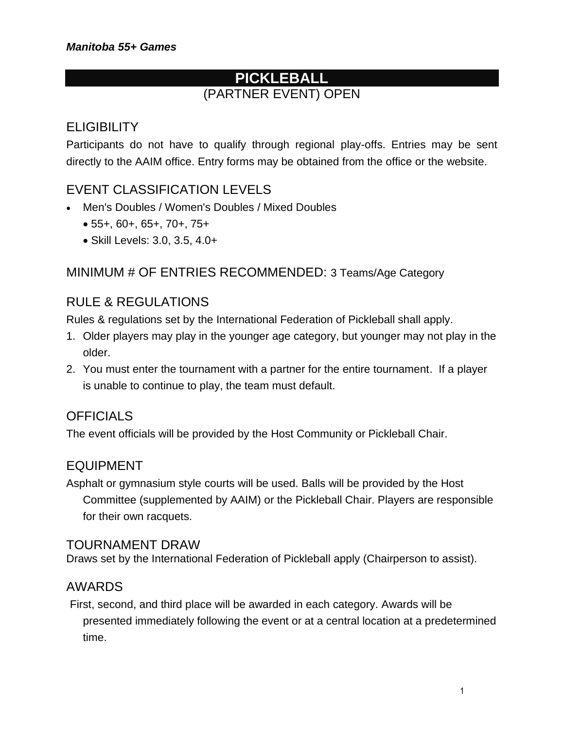## **PICKLEBALL** (PARTNER EVENT) OPEN

## **ELIGIBILITY**

Participants do not have to qualify through regional play-offs. Entries may be sent directly to the AAIM office. Entry forms may be obtained from the office or the website.

## EVENT CLASSIFICATION LEVELS

- Men's Doubles / Women's Doubles / Mixed Doubles
	- 55+, 60+, 65+, 70+, 75+
	- Skill Levels: 3.0, 3.5, 4.0+

#### MINIMUM # OF ENTRIES RECOMMENDED: 3 Teams/Age Category

### RULE & REGULATIONS

Rules & regulations set by the International Federation of Pickleball shall apply.

- 1. Older players may play in the younger age category, but younger may not play in the older.
- 2. You must enter the tournament with a partner for the entire tournament. If a player is unable to continue to play, the team must default.

#### **OFFICIALS**

The event officials will be provided by the Host Community or Pickleball Chair.

#### EQUIPMENT

Asphalt or gymnasium style courts will be used. Balls will be provided by the Host Committee (supplemented by AAIM) or the Pickleball Chair. Players are responsible for their own racquets.

#### TOURNAMENT DRAW

Draws set by the International Federation of Pickleball apply (Chairperson to assist).

#### AWARDS

First, second, and third place will be awarded in each category. Awards will be presented immediately following the event or at a central location at a predetermined time.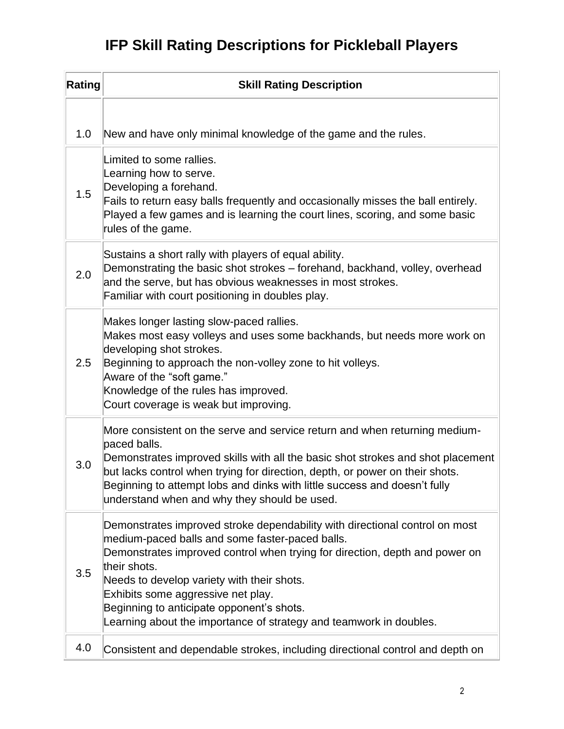# **IFP Skill Rating Descriptions for Pickleball Players**

| Rating | <b>Skill Rating Description</b>                                                                                                                                                                                                                                                                                                                                                                                                      |
|--------|--------------------------------------------------------------------------------------------------------------------------------------------------------------------------------------------------------------------------------------------------------------------------------------------------------------------------------------------------------------------------------------------------------------------------------------|
|        |                                                                                                                                                                                                                                                                                                                                                                                                                                      |
| 1.0    | New and have only minimal knowledge of the game and the rules.                                                                                                                                                                                                                                                                                                                                                                       |
| 1.5    | Limited to some rallies.<br>Learning how to serve.<br>Developing a forehand.<br>Fails to return easy balls frequently and occasionally misses the ball entirely.<br>Played a few games and is learning the court lines, scoring, and some basic<br>rules of the game.                                                                                                                                                                |
| 2.0    | Sustains a short rally with players of equal ability.<br>Demonstrating the basic shot strokes - forehand, backhand, volley, overhead<br>and the serve, but has obvious weaknesses in most strokes.<br>Familiar with court positioning in doubles play.                                                                                                                                                                               |
| 2.5    | Makes longer lasting slow-paced rallies.<br>Makes most easy volleys and uses some backhands, but needs more work on<br>developing shot strokes.<br>Beginning to approach the non-volley zone to hit volleys.<br>Aware of the "soft game."<br>Knowledge of the rules has improved.<br>Court coverage is weak but improving.                                                                                                           |
| 3.0    | More consistent on the serve and service return and when returning medium-<br>paced balls.<br>Demonstrates improved skills with all the basic shot strokes and shot placement<br>but lacks control when trying for direction, depth, or power on their shots.<br>Beginning to attempt lobs and dinks with little success and doesn't fully<br>understand when and why they should be used.                                           |
| 3.5    | Demonstrates improved stroke dependability with directional control on most<br>medium-paced balls and some faster-paced balls.<br>Demonstrates improved control when trying for direction, depth and power on<br>their shots.<br>Needs to develop variety with their shots.<br>Exhibits some aggressive net play.<br>Beginning to anticipate opponent's shots.<br>Learning about the importance of strategy and teamwork in doubles. |
| 4.0    | Consistent and dependable strokes, including directional control and depth on                                                                                                                                                                                                                                                                                                                                                        |